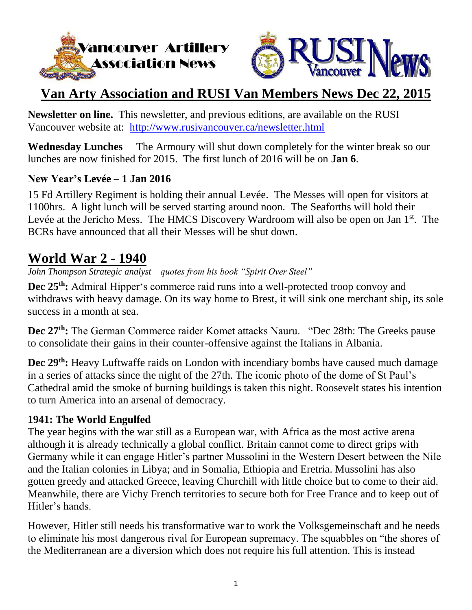



## **Van Arty Association and RUSI Van Members News Dec 22, 2015**

**Newsletter on line.** This newsletter, and previous editions, are available on the RUSI Vancouver website at: <http://www.rusivancouver.ca/newsletter.html>

**Wednesday Lunches** The Armoury will shut down completely for the winter break so our lunches are now finished for 2015. The first lunch of 2016 will be on **Jan 6**.

### **New Year's Levée – 1 Jan 2016**

15 Fd Artillery Regiment is holding their annual Levée. The Messes will open for visitors at 1100hrs. A light lunch will be served starting around noon. The Seaforths will hold their Levée at the Jericho Mess. The HMCS Discovery Wardroom will also be open on Jan 1<sup>st</sup>. The BCRs have announced that all their Messes will be shut down.

### **World War 2 - 1940**

*John Thompson Strategic analyst quotes from his book "Spirit Over Steel"*

**Dec 25th:** Admiral Hipper's commerce raid runs into a well-protected troop convoy and withdraws with heavy damage. On its way home to Brest, it will sink one merchant ship, its sole success in a month at sea.

**Dec 27th:** The German Commerce raider Komet attacks Nauru. "Dec 28th: The Greeks pause to consolidate their gains in their counter-offensive against the Italians in Albania.

**Dec 29th:** Heavy Luftwaffe raids on London with incendiary bombs have caused much damage in a series of attacks since the night of the 27th. The iconic photo of the dome of St Paul's Cathedral amid the smoke of burning buildings is taken this night. Roosevelt states his intention to turn America into an arsenal of democracy.

#### **1941: The World Engulfed**

The year begins with the war still as a European war, with Africa as the most active arena although it is already technically a global conflict. Britain cannot come to direct grips with Germany while it can engage Hitler's partner Mussolini in the Western Desert between the Nile and the Italian colonies in Libya; and in Somalia, Ethiopia and Eretria. Mussolini has also gotten greedy and attacked Greece, leaving Churchill with little choice but to come to their aid. Meanwhile, there are Vichy French territories to secure both for Free France and to keep out of Hitler's hands.

However, Hitler still needs his transformative war to work the Volksgemeinschaft and he needs to eliminate his most dangerous rival for European supremacy. The squabbles on "the shores of the Mediterranean are a diversion which does not require his full attention. This is instead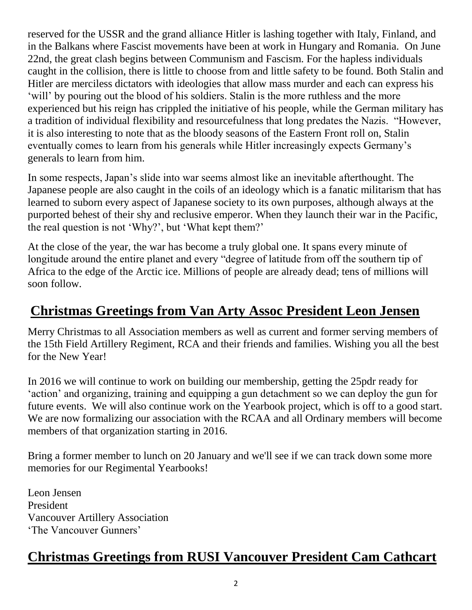reserved for the USSR and the grand alliance Hitler is lashing together with Italy, Finland, and in the Balkans where Fascist movements have been at work in Hungary and Romania. On June 22nd, the great clash begins between Communism and Fascism. For the hapless individuals caught in the collision, there is little to choose from and little safety to be found. Both Stalin and Hitler are merciless dictators with ideologies that allow mass murder and each can express his 'will' by pouring out the blood of his soldiers. Stalin is the more ruthless and the more experienced but his reign has crippled the initiative of his people, while the German military has a tradition of individual flexibility and resourcefulness that long predates the Nazis. "However, it is also interesting to note that as the bloody seasons of the Eastern Front roll on, Stalin eventually comes to learn from his generals while Hitler increasingly expects Germany's generals to learn from him.

In some respects, Japan's slide into war seems almost like an inevitable afterthought. The Japanese people are also caught in the coils of an ideology which is a fanatic militarism that has learned to suborn every aspect of Japanese society to its own purposes, although always at the purported behest of their shy and reclusive emperor. When they launch their war in the Pacific, the real question is not 'Why?', but 'What kept them?'

At the close of the year, the war has become a truly global one. It spans every minute of longitude around the entire planet and every "degree of latitude from off the southern tip of Africa to the edge of the Arctic ice. Millions of people are already dead; tens of millions will soon follow.

## **Christmas Greetings from Van Arty Assoc President Leon Jensen**

Merry Christmas to all Association members as well as current and former serving members of the 15th Field Artillery Regiment, RCA and their friends and families. Wishing you all the best for the New Year!

In 2016 we will continue to work on building our membership, getting the 25pdr ready for 'action' and organizing, training and equipping a gun detachment so we can deploy the gun for future events. We will also continue work on the Yearbook project, which is off to a good start. We are now formalizing our association with the RCAA and all Ordinary members will become members of that organization starting in 2016.

Bring a former member to lunch on 20 January and we'll see if we can track down some more memories for our Regimental Yearbooks!

Leon Jensen President Vancouver Artillery Association 'The Vancouver Gunners'

### **Christmas Greetings from RUSI Vancouver President Cam Cathcart**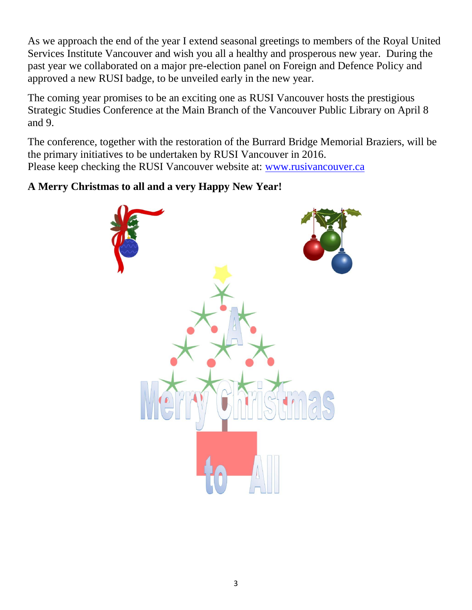As we approach the end of the year I extend seasonal greetings to members of the Royal United Services Institute Vancouver and wish you all a healthy and prosperous new year. During the past year we collaborated on a major pre-election panel on Foreign and Defence Policy and approved a new RUSI badge, to be unveiled early in the new year.

The coming year promises to be an exciting one as RUSI Vancouver hosts the prestigious Strategic Studies Conference at the Main Branch of the Vancouver Public Library on April 8 and 9.

The conference, together with the restoration of the Burrard Bridge Memorial Braziers, will be the primary initiatives to be undertaken by RUSI Vancouver in 2016. Please keep checking the RUSI Vancouver website at: [www.rusivancouver.ca](http://www.rusivancouver.ca/)

### **A Merry Christmas to all and a very Happy New Year!**